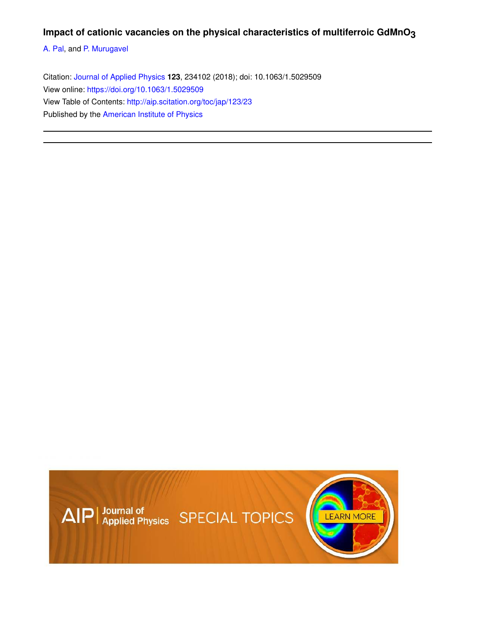## **Impact of cationic vacancies on the physical characteristics of multiferroic GdMnO3**

A. Pal, and P. Murugavel

Citation: Journal of Applied Physics **123**, 234102 (2018); doi: 10.1063/1.5029509 View online: https://doi.org/10.1063/1.5029509 View Table of Contents: http://aip.scitation.org/toc/jap/123/23 Published by the American Institute of Physics

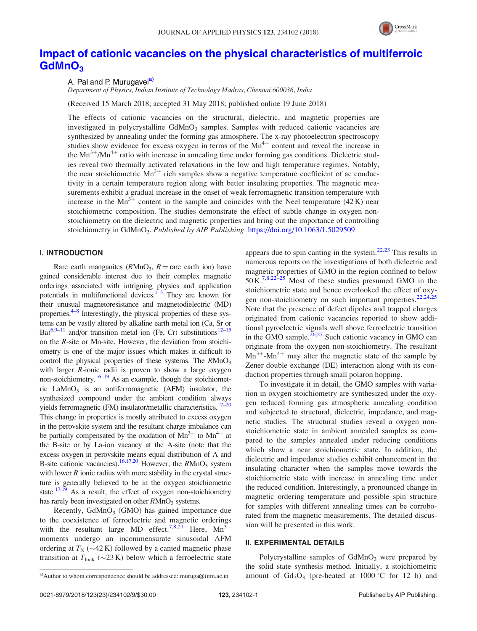

# Impact of cationic vacancies on the physical characteristics of multiferroic GdMnO<sub>3</sub>

A. Pal and P. Murugavel<sup>a)</sup>

Department of Physics, Indian Institute of Technology Madras, Chennai 600036, India

(Received 15 March 2018; accepted 31 May 2018; published online 19 June 2018)

The effects of cationic vacancies on the structural, dielectric, and magnetic properties are investigated in polycrystalline  $G dMnO<sub>3</sub>$  samples. Samples with reduced cationic vacancies are synthesized by annealing under the forming gas atmosphere. The x-ray photoelectron spectroscopy studies show evidence for excess oxygen in terms of the  $Mn^{4+}$  content and reveal the increase in the  $Mn^{3+}/Mn^{4+}$  ratio with increase in annealing time under forming gas conditions. Dielectric studies reveal two thermally activated relaxations in the low and high temperature regimes. Notably, the near stoichiometric  $Mn^{3+}$  rich samples show a negative temperature coefficient of ac conductivity in a certain temperature region along with better insulating properties. The magnetic measurements exhibit a gradual increase in the onset of weak ferromagnetic transition temperature with increase in the Mn<sup>3+</sup> content in the sample and coincides with the Neel temperature (42K) near stoichiometric composition. The studies demonstrate the effect of subtle change in oxygen nonstoichiometry on the dielectric and magnetic properties and bring out the importance of controlling stoichiometry in GdMnO<sub>3</sub>. Published by AIP Publishing. https://doi.org/10.1063/1.5029509

## I. INTRODUCTION

Rare earth manganites ( $R MnO<sub>3</sub>$ ,  $R =$ rare earth ion) have gained considerable interest due to their complex magnetic orderings associated with intriguing physics and application potentials in multifunctional devices. $1\overline{3}$  They are known for their unusual magnetoresistance and magnetodielectric (MD) properties.<sup>4–8</sup> Interestingly, the physical properties of these systems can be vastly altered by alkaline earth metal ion (Ca, Sr or  $Ba)^{6,9-11}$  and/or transition metal ion (Fe, Cr) substitutions<sup>12–15</sup> on the R-site or Mn-site. However, the deviation from stoichiometry is one of the major issues which makes it difficult to control the physical properties of these systems. The  $R M n O<sub>3</sub>$ with larger *R*-ionic radii is proven to show a large oxygen non-stoichiometry.<sup>16–19</sup> As an example, though the stoichiometric  $\text{LaMnO}_3$  is an antiferromagnetic (AFM) insulator, the synthesized compound under the ambient condition always yields ferromagnetic (FM) insulator/metallic characteristics.<sup>17–20</sup> This change in properties is mostly attributed to excess oxygen in the perovskite system and the resultant charge imbalance can be partially compensated by the oxidation of  $Mn^{3+}$  to  $Mn^{4+}$  at the B-site or by La-ion vacancy at the A-site (note that the excess oxygen in perovskite means equal distribution of A and B-site cationic vacancies).<sup>16,17,20</sup> However, the  $RMnO<sub>3</sub>$  system with lower  $R$  ionic radius with more stability in the crystal structure is generally believed to be in the oxygen stoichiometric state.<sup>17,19</sup> As a result, the effect of oxygen non-stoichiometry has rarely been investigated on other  $R$ MnO<sub>3</sub> systems.

Recently, GdMnO<sub>3</sub> (GMO) has gained importance due to the coexistence of ferroelectric and magnetic orderings with the resultant large MD effect.<sup>7,8,21</sup> Here,  $Mn^{3+}$ moments undergo an incommensurate sinusoidal AFM ordering at  $T_N$  ( $\sim$ 42 K) followed by a canted magnetic phase transition at  $T_{\text{lock}}$  ( $\sim$ 23 K) below which a ferroelectric state

appears due to spin canting in the system. $22,23$  This results in numerous reports on the investigations of both dielectric and magnetic properties of GMO in the region confined to below  $50 \text{ K.}^{7,8,22-25}$  Most of these studies presumed GMO in the stoichiometric state and hence overlooked the effect of oxygen non-stoichiometry on such important properties.<sup>22,24,25</sup> Note that the presence of defect dipoles and trapped charges originated from cationic vacancies reported to show additional pyroelectric signals well above ferroelectric transition in the GMO sample. $^{26,27}$  Such cationic vacancy in GMO can originate from the oxygen non-stoichiometry. The resultant  $Mn^{3+}$ -Mn<sup>4+</sup> may alter the magnetic state of the sample by Zener double exchange (DE) interaction along with its conduction properties through small polaron hopping.

To investigate it in detail, the GMO samples with variation in oxygen stoichiometry are synthesized under the oxygen reduced forming gas atmospheric annealing condition and subjected to structural, dielectric, impedance, and magnetic studies. The structural studies reveal a oxygen nonstoichiometric state in ambient annealed samples as compared to the samples annealed under reducing conditions which show a near stoichiometric state. In addition, the dielectric and impedance studies exhibit enhancement in the insulating character when the samples move towards the stoichiometric state with increase in annealing time under the reduced condition. Interestingly, a pronounced change in magnetic ordering temperature and possible spin structure for samples with different annealing times can be corroborated from the magnetic measurements. The detailed discussion will be presented in this work.

## II. EXPERIMENTAL DETAILS

Polycrystalline samples of  $GdMnO<sub>3</sub>$  were prepared by the solid state synthesis method. Initially, a stoichiometric a)Author to whom correspondence should be addressed: muruga@iitm.ac.in amount of  $Gd_2O_3$  (pre-heated at 1000 °C for 12 h) and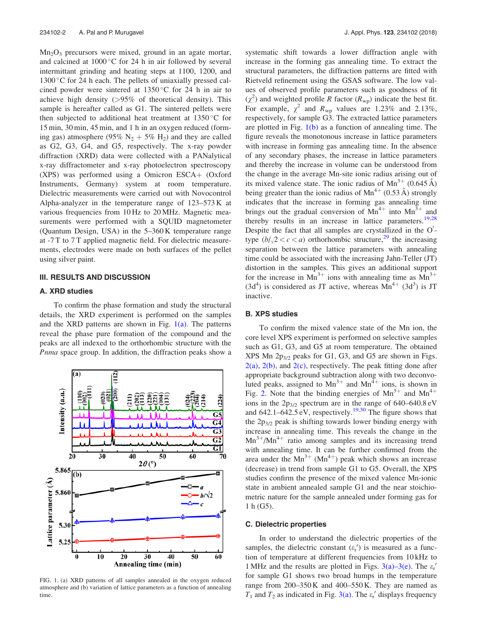$Mn<sub>2</sub>O<sub>3</sub>$  precursors were mixed, ground in an agate mortar, and calcined at  $1000\,^{\circ}\text{C}$  for 24 h in air followed by several intermittant grinding and heating steps at 1100, 1200, and  $1300\textdegree$ C for 24 h each. The pellets of uniaxially pressed calcined powder were sintered at  $1350^{\circ}$ C for 24 h in air to achieve high density (>95% of theoretical density). This sample is hereafter called as G1. The sintered pellets were then subjected to additional heat treatment at  $1350^{\circ}$ C for 15 min, 30 min, 45 min, and 1 h in an oxygen reduced (forming gas) atmosphere (95%  $N_2 + 5% H_2$ ) and they are called as G2, G3, G4, and G5, respectively. The x-ray powder diffraction (XRD) data were collected with a PANalytical x-ray diffractometer and x-ray photoelectron spectroscopy  $(XPS)$  was performed using a Omicron ESCA+ (Oxford Instruments, Germany) system at room temperature. Dielectric measurements were carried out with Novocontrol Alpha-analyzer in the temperature range of 123–573 K at various frequencies from 10 Hz to 20 MHz. Magnetic measurements were performed with a SQUID magnetometer (Quantum Design, USA) in the 5–360 K temperature range at -7 T to 7 T applied magnetic field. For dielectric measurements, electrodes were made on both surfaces of the pellet using silver paint.

## III. RESULTS AND DISCUSSION

## A. XRD studies

To confirm the phase formation and study the structural details, the XRD experiment is performed on the samples and the XRD patterns are shown in Fig.  $1(a)$ . The patterns reveal the phase pure formation of the compound and the peaks are all indexed to the orthorhombic structure with the Pnma space group. In addition, the diffraction peaks show a



FIG. 1. (a) XRD patterns of all samples annealed in the oxygen reduced atmosphere and (b) variation of lattice parameters as a function of annealing time.

systematic shift towards a lower diffraction angle with increase in the forming gas annealing time. To extract the structural parameters, the diffraction patterns are fitted with Rietveld refinement using the GSAS software. The low values of observed profile parameters such as goodness of fit  $(\chi^2)$  and weighted profile R factor  $(R_{wp})$  indicate the best fit. For example,  $\chi^2$  and  $R_{\rm wp}$  values are 1.23% and 2.13%, respectively, for sample G3. The extracted lattice parameters are plotted in Fig.  $1(b)$  as a function of annealing time. The figure reveals the monotonous increase in lattice parameters with increase in forming gas annealing time. In the absence of any secondary phases, the increase in lattice parameters and thereby the increase in volume can be understood from the change in the average Mn-site ionic radius arising out of its mixed valence state. The ionic radius of  $Mn^{3+}$  (0.645 Å) being greater than the ionic radius of  $Mn^{4+}$  (0.53 Å) strongly indicates that the increase in forming gas annealing time brings out the gradual conversion of  $Mn^{4+}$  into  $Mn^{3+}$  and thereby results in an increase in lattice parameters.<sup>19,28</sup> Despite the fact that all samples are crystallized in the  $O<sup>1</sup>$ type  $(b/\sqrt{2} < c < a)$  orthorhombic structure,<sup>29</sup> the increasing separation between the lattice parameters with annealing time could be associated with the increasing Jahn-Teller (JT) distortion in the samples. This gives an additional support for the increase in  $Mn^{3+}$  ions with annealing time as  $Mn^{3+}$  $(3d<sup>4</sup>)$  is considered as JT active, whereas  $Mn<sup>4+</sup> (3d<sup>3</sup>)$  is JT inactive.

## B. XPS studies

To confirm the mixed valence state of the Mn ion, the core level XPS experiment is performed on selective samples such as G1, G3, and G5 at room temperature. The obtained XPS Mn  $2p_{3/2}$  peaks for G1, G3, and G5 are shown in Figs.  $2(a)$ ,  $2(b)$ , and  $2(c)$ , respectively. The peak fitting done after appropriate background subtraction along with two deconvoluted peaks, assigned to  $Mn^{3+}$  and  $Mn^{4+}$  ions, is shown in Fig. 2. Note that the binding energies of  $Mn^{3+}$  and  $Mn^{4+}$ ions in the  $2p_{3/2}$  spectrum are in the range of 640–640.8 eV and  $642.1-642.5 \text{ eV}$ , respectively.<sup>19,30</sup> The figure shows that the  $2p_{3/2}$  peak is shifting towards lower binding energy with increase in annealing time. This reveals the change in the  $Mn^{3+}/Mn^{4+}$  ratio among samples and its increasing trend with annealing time. It can be further confirmed from the area under the  $Mn^{3+}$  ( $Mn^{4+}$ ) peak which shows an increase (decrease) in trend from sample G1 to G5. Overall, the XPS studies confirm the presence of the mixed valence Mn-ionic state in ambient annealed sample G1 and the near stoichiometric nature for the sample annealed under forming gas for 1 h (G5).

#### C. Dielectric properties

In order to understand the dielectric properties of the samples, the dielectric constant  $(\varepsilon_r)$  is measured as a function of temperature at different frequencies from 10 kHz to 1 MHz and the results are plotted in Figs. 3(a)–3(e). The  $\varepsilon$ <sup>r</sup> for sample G1 shows two broad humps in the temperature range from 200–350 K and 400–550 K. They are named as  $T_1$  and  $T_2$  as indicated in Fig. 3(a). The  $\varepsilon_r'$  displays frequency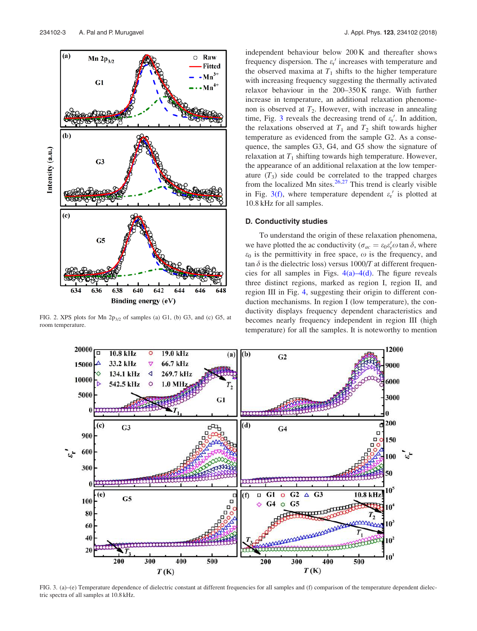

FIG. 2. XPS plots for Mn  $2p_{3/2}$  of samples (a) G1, (b) G3, and (c) G5, at room temperature.

independent behaviour below 200 K and thereafter shows frequency dispersion. The  $\varepsilon_{r}$  increases with temperature and the observed maxima at  $T_1$  shifts to the higher temperature with increasing frequency suggesting the thermally activated relaxor behaviour in the 200–350 K range. With further increase in temperature, an additional relaxation phenomenon is observed at  $T_2$ . However, with increase in annealing time, Fig. 3 reveals the decreasing trend of  $\varepsilon_{\rm r}'$ . In addition, the relaxations observed at  $T_1$  and  $T_2$  shift towards higher temperature as evidenced from the sample G2. As a consequence, the samples G3, G4, and G5 show the signature of relaxation at  $T_1$  shifting towards high temperature. However, the appearance of an additional relaxation at the low temperature  $(T_3)$  side could be correlated to the trapped charges from the localized Mn sites. $26,27$  This trend is clearly visible in Fig. 3(f), where temperature dependent  $\varepsilon$ <sup>r</sup> is plotted at 10.8 kHz for all samples.

#### D. Conductivity studies

To understand the origin of these relaxation phenomena, we have plotted the ac conductivity ( $\sigma_{ac} = \varepsilon_0 \varepsilon'_{r} \omega \tan \delta$ , where  $\varepsilon_0$  is the permittivity in free space,  $\omega$  is the frequency, and tan  $\delta$  is the dielectric loss) versus 1000/T at different frequencies for all samples in Figs.  $4(a) - 4(d)$ . The figure reveals three distinct regions, marked as region I, region II, and region III in Fig. 4, suggesting their origin to different conduction mechanisms. In region I (low temperature), the conductivity displays frequency dependent characteristics and becomes nearly frequency independent in region III (high temperature) for all the samples. It is noteworthy to mention



FIG. 3. (a)–(e) Temperature dependence of dielectric constant at different frequencies for all samples and (f) comparison of the temperature dependent dielectric spectra of all samples at 10.8 kHz.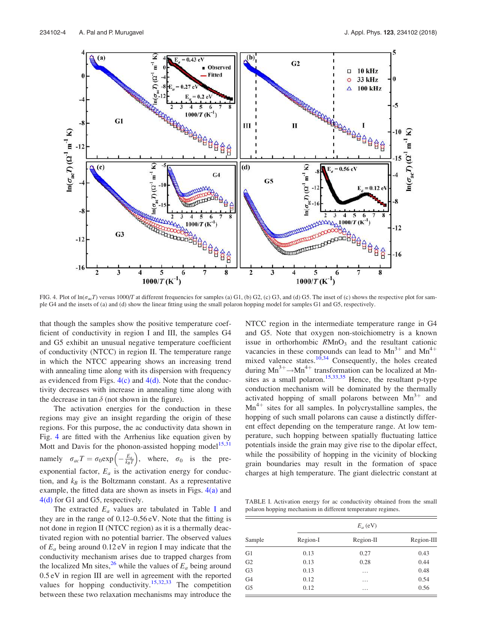

FIG. 4. Plot of  $\ln(\sigma_{\alpha}T)$  versus 1000/T at different frequencies for samples (a) G1, (b) G2, (c) G3, and (d) G5. The inset of (c) shows the respective plot for sample G4 and the insets of (a) and (d) show the linear fitting using the small polaron hopping model for samples G1 and G5, respectively.

that though the samples show the positive temperature coefficient of conductivity in region I and III, the samples G4 and G5 exhibit an unusual negative temperature coefficient of conductivity (NTCC) in region II. The temperature range in which the NTCC appearing shows an increasing trend with annealing time along with its dispersion with frequency as evidenced from Figs.  $4(c)$  and  $4(d)$ . Note that the conductivity decreases with increase in annealing time along with the decrease in tan  $\delta$  (not shown in the figure).

The activation energies for the conduction in these regions may give an insight regarding the origin of these regions. For this purpose, the ac conductivity data shown in Fig. 4 are fitted with the Arrhenius like equation given by Mott and Davis for the phonon-assisted hopping model<sup>15,31</sup> namely  $\sigma_{ac}T = \sigma_0 \exp\left(-\frac{E_a}{k_B T}\right)$ , where,  $\sigma_0$  is the preexponential factor,  $E_a$  is the activation energy for conduction, and  $k_B$  is the Boltzmann constant. As a representative example, the fitted data are shown as insets in Figs.  $4(a)$  and 4(d) for G1 and G5, respectively.

The extracted  $E_a$  values are tabulated in Table I and they are in the range of 0.12–0.56 eV. Note that the fitting is not done in region II (NTCC region) as it is a thermally deactivated region with no potential barrier. The observed values of  $E_a$  being around 0.12 eV in region I may indicate that the conductivity mechanism arises due to trapped charges from the localized Mn sites, <sup>26</sup> while the values of  $E_a$  being around 0.5 eV in region III are well in agreement with the reported values for hopping conductivity.<sup>15,32,33</sup> The competition between these two relaxation mechanisms may introduce the

NTCC region in the intermediate temperature range in G4 and G5. Note that oxygen non-stoichiometry is a known issue in orthorhombic  $RMnO<sub>3</sub>$  and the resultant cationic vacancies in these compounds can lead to  $Mn^{3+}$  and  $Mn^{4+}$ mixed valence states.<sup>10,34</sup> Consequently, the holes created during  $Mn^{3+} \rightarrow Mn^{4+}$  transformation can be localized at Mnsites as a small polaron.<sup>15,33,35</sup> Hence, the resultant p-type conduction mechanism will be dominated by the thermally activated hopping of small polarons between  $Mn^{3+}$  and  $Mn^{4+}$  sites for all samples. In polycrystalline samples, the hopping of such small polarons can cause a distinctly different effect depending on the temperature range. At low temperature, such hopping between spatially fluctuating lattice potentials inside the grain may give rise to the dipolar effect, while the possibility of hopping in the vicinity of blocking grain boundaries may result in the formation of space charges at high temperature. The giant dielectric constant at

TABLE I. Activation energy for ac conductivity obtained from the small polaron hopping mechanism in different temperature regimes.

| Sample         | $E_a$ (eV) |           |            |  |
|----------------|------------|-----------|------------|--|
|                | Region-I   | Region-II | Region-III |  |
| G1             | 0.13       | 0.27      | 0.43       |  |
| G <sub>2</sub> | 0.13       | 0.28      | 0.44       |  |
| G <sub>3</sub> | 0.13       | .         | 0.48       |  |
| G <sub>4</sub> | 0.12       | .         | 0.54       |  |
| G <sub>5</sub> | 0.12       | .         | 0.56       |  |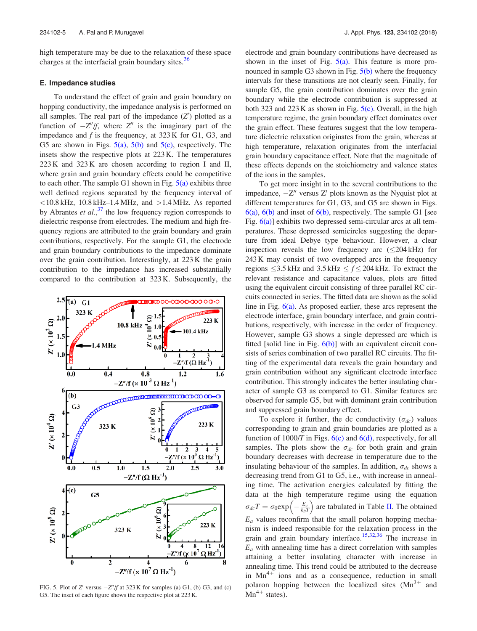high temperature may be due to the relaxation of these space charges at the interfacial grain boundary sites.<sup>36</sup>

## E. Impedance studies

To understand the effect of grain and grain boundary on hopping conductivity, the impedance analysis is performed on all samples. The real part of the impedance  $(Z')$  plotted as a function of  $-Z''/f$ , where  $Z''$  is the imaginary part of the impedance and  $f$  is the frequency, at  $323 \text{ K}$  for G1, G3, and G5 are shown in Figs.  $5(a)$ ,  $5(b)$  and  $5(c)$ , respectively. The insets show the respective plots at 223 K. The temperatures 223 K and 323 K are chosen according to region I and II, where grain and grain boundary effects could be competitive to each other. The sample G1 shown in Fig.  $5(a)$  exhibits three well defined regions separated by the frequency interval of  $<$ 10.8 kHz, 10.8 kHz–1.4 MHz, and  $>$ 1.4 MHz. As reported by Abrantes et  $al$ ,  $37$  the low frequency region corresponds to dielectric response from electrodes. The medium and high frequency regions are attributed to the grain boundary and grain contributions, respectively. For the sample G1, the electrode and grain boundary contributions to the impedance dominate over the grain contribution. Interestingly, at 223 K the grain contribution to the impedance has increased substantially compared to the contribution at 323 K. Subsequently, the



FIG. 5. Plot of Z' versus  $-Z''/f$  at 323 K for samples (a) G1, (b) G3, and (c) G5. The inset of each figure shows the respective plot at 223 K.

electrode and grain boundary contributions have decreased as shown in the inset of Fig.  $5(a)$ . This feature is more pronounced in sample G3 shown in Fig.  $5(b)$  where the frequency intervals for these transitions are not clearly seen. Finally, for sample G5, the grain contribution dominates over the grain boundary while the electrode contribution is suppressed at both 323 and 223 K as shown in Fig.  $5(c)$ . Overall, in the high temperature regime, the grain boundary effect dominates over the grain effect. These features suggest that the low temperature dielectric relaxation originates from the grain, whereas at high temperature, relaxation originates from the interfacial grain boundary capacitance effect. Note that the magnitude of these effects depends on the stoichiometry and valence states of the ions in the samples.

To get more insight in to the several contributions to the impedance,  $-Z''$  versus  $Z'$  plots known as the Nyquist plot at different temperatures for G1, G3, and G5 are shown in Figs.  $6(a)$ ,  $6(b)$  and inset of  $6(b)$ , respectively. The sample G1 [see Fig. 6(a)] exhibits two depressed semi-circular arcs at all temperatures. These depressed semicircles suggesting the departure from ideal Debye type behaviour. However, a clear inspection reveals the low frequency arc  $(<204$  kHz) for 243 K may consist of two overlapped arcs in the frequency regions  $\leq$ 3.5 kHz and 3.5 kHz  $\leq$   $f$   $\leq$  204 kHz. To extract the relevant resistance and capacitance values, plots are fitted using the equivalent circuit consisting of three parallel RC circuits connected in series. The fitted data are shown as the solid line in Fig. 6(a). As proposed earlier, these arcs represent the electrode interface, grain boundary interface, and grain contributions, respectively, with increase in the order of frequency. However, sample G3 shows a single depressed arc which is fitted [solid line in Fig.  $6(b)$ ] with an equivalent circuit consists of series combination of two parallel RC circuits. The fitting of the experimental data reveals the grain boundary and grain contribution without any significant electrode interface contribution. This strongly indicates the better insulating character of sample G3 as compared to G1. Similar features are observed for sample G5, but with dominant grain contribution and suppressed grain boundary effect.

To explore it further, the dc conductivity  $(\sigma_{dc})$  values corresponding to grain and grain boundaries are plotted as a function of  $1000/T$  in Figs.  $6(c)$  and  $6(d)$ , respectively, for all samples. The plots show the  $\sigma_{dc}$  for both grain and grain boundary decreases with decrease in temperature due to the insulating behaviour of the samples. In addition,  $\sigma_{dc}$  shows a decreasing trend from G1 to G5, i.e., with increase in annealing time. The activation energies calculated by fitting the data at the high temperature regime using the equation  $\sigma_{dc}T = \sigma_0 \exp\left(-\frac{E_a}{k_B T}\right)$  are tabulated in Table II. The obtained  $E_a$  values reconfirm that the small polaron hopping mechanism is indeed responsible for the relaxation process in the grain and grain boundary interface.15,32,36 The increase in  $E_a$  with annealing time has a direct correlation with samples attaining a better insulating character with increase in annealing time. This trend could be attributed to the decrease in  $Mn^{4+}$  ions and as a consequence, reduction in small polaron hopping between the localized sites  $(Mn^{3+})$  and  $\text{Mn}^{4+}$  states).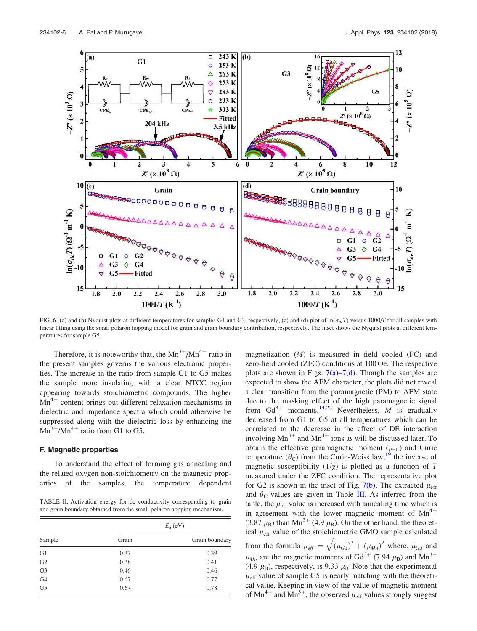

FIG. 6. (a) and (b) Nyquist plots at different temperatures for samples G1 and G3, respectively, (c) and (d) plot of  $\ln(\sigma_{dc}T)$  versus 1000/T for all samples with linear fitting using the small polaron hopping model for grain and grain boundary contribution, respectively. The inset shows the Nyquist plots at different temperatures for sample G5.

Therefore, it is noteworthy that, the  $Mn^{3+}/Mn^{4+}$  ratio in the present samples governs the various electronic properties. The increase in the ratio from sample G1 to G5 makes the sample more insulating with a clear NTCC region appearing towards stoichiometric compounds. The higher  $Mn^{4+}$  content brings out different relaxation mechanisms in dielectric and impedance spectra which could otherwise be suppressed along with the dielectric loss by enhancing the  $\text{Mn}^3$  +/Mn<sup>4+</sup> ratio from G1 to G5.

#### F. Magnetic properties

To understand the effect of forming gas annealing and the related oxygen non-stoichiometry on the magnetic properties of the samples, the temperature dependent

TABLE II. Activation energy for dc conductivity corresponding to grain and grain boundary obtained from the small polaron hopping mechanism.

|                |       | $E_{\rm a}$ (eV) |
|----------------|-------|------------------|
| Sample         | Grain | Grain boundary   |
| G1             | 0.37  | 0.39             |
| G <sub>2</sub> | 0.38  | 0.41             |
| G <sub>3</sub> | 0.46  | 0.46             |
| G <sub>4</sub> | 0.67  | 0.77             |
| G <sub>5</sub> | 0.67  | 0.78             |

magnetization (M) is measured in field cooled (FC) and zero-field cooled (ZFC) conditions at 100 Oe. The respective plots are shown in Figs.  $7(a)$ – $7(d)$ . Though the samples are expected to show the AFM character, the plots did not reveal a clear transition from the paramagnetic (PM) to AFM state due to the masking effect of the high paramagnetic signal from  $Gd^{3+}$  moments.<sup>14,22</sup> Nevertheless, *M* is gradually decreased from G1 to G5 at all temperatures which can be correlated to the decrease in the effect of DE interaction involving  $Mn^{3+}$  and  $Mn^{4+}$  ions as will be discussed later. To obtain the effective paramagnetic moment  $(\mu_{eff})$  and Curie temperature  $(\theta_C)$  from the Curie-Weiss law,<sup>19</sup> the inverse of magnetic susceptibility  $(1/\chi)$  is plotted as a function of T measured under the ZFC condition. The representative plot for G2 is shown in the inset of Fig. 7(b). The extracted  $\mu_{\text{eff}}$ and  $\theta_c$  values are given in Table III. As inferred from the table, the  $\mu_{\text{eff}}$  value is increased with annealing time which is in agreement with the lower magnetic moment of  $Mn^{4+}$  $(3.87 \mu_B)$  than Mn<sup>3+</sup> (4.9  $\mu_B$ ). On the other hand, the theoretical  $\mu$ <sub>eff</sub> value of the stoichiometric GMO sample calculated from the formula  $\mu_{eff} = \sqrt{(\mu_{Gd})^2 + (\mu_{Mn})^2}$  where,  $\mu_{Gd}$  and  $\mu_{Mn}$  are the magnetic moments of Gd<sup>3+</sup> (7.94  $\mu_{\rm B}$ ) and Mn<sup>3+</sup> (4.9  $\mu$ <sub>B</sub>), respectively, is 9.33  $\mu$ <sub>B</sub>. Note that the experimental  $\mu_{\text{eff}}$  value of sample G5 is nearly matching with the theoretical value. Keeping in view of the value of magnetic moment of Mn<sup>4+</sup> and Mn<sup>3+</sup>, the observed  $\mu_{\text{eff}}$  values strongly suggest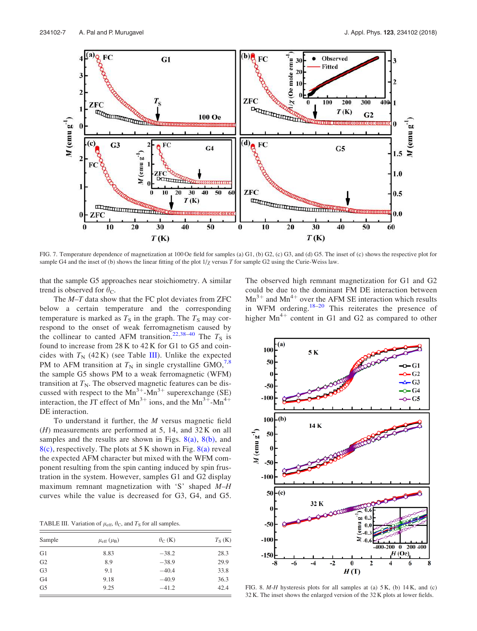

FIG. 7. Temperature dependence of magnetization at 100 Oe field for samples (a) G1, (b) G2, (c) G3, and (d) G5. The inset of (c) shows the respective plot for sample G4 and the inset of (b) shows the linear fitting of the plot  $1/\chi$  versus T for sample G2 using the Curie-Weiss law.

that the sample G5 approaches near stoichiometry. A similar trend is observed for  $\theta_{\rm C}$ .

The  $M-T$  data show that the FC plot deviates from ZFC below a certain temperature and the corresponding temperature is marked as  $T<sub>S</sub>$  in the graph. The  $T<sub>S</sub>$  may correspond to the onset of weak ferromagnetism caused by the collinear to canted AFM transition.<sup>22,38–40</sup> The  $T_s$  is found to increase from 28 K to 42 K for G1 to G5 and coincides with  $T_N$  (42 K) (see Table III). Unlike the expected PM to AFM transition at  $T<sub>N</sub>$  in single crystalline GMO,<sup>7,8</sup> the sample G5 shows PM to a weak ferromagnetic (WFM) transition at  $T_N$ . The observed magnetic features can be discussed with respect to the  $Mn^{3+}-Mn^{3+}$  superexchange (SE) interaction, the JT effect of  $Mn^{3+}$  ions, and the  $Mn^{3+}-Mn^{4+}$ DE interaction.

To understand it further, the  $M$  versus magnetic field  $(H)$  measurements are performed at 5, 14, and 32 K on all samples and the results are shown in Figs.  $8(a)$ ,  $8(b)$ , and  $8(c)$ , respectively. The plots at 5 K shown in Fig.  $8(a)$  reveal the expected AFM character but mixed with the WFM component resulting from the spin canting induced by spin frustration in the system. However, samples G1 and G2 display maximum remnant magnetization with 'S' shaped M–H curves while the value is decreased for G3, G4, and G5.

TABLE III. Variation of  $\mu_{\text{eff}}$ ,  $\theta_{\text{C}}$ , and  $T_{\text{S}}$  for all samples.

| Sample         | $\mu_{\rm eff}$ ( $\mu_{\rm B}$ ) | $\theta_C$ (K) | $T_S$ (K) |
|----------------|-----------------------------------|----------------|-----------|
| G1             | 8.83                              | $-38.2$        | 28.3      |
| G <sub>2</sub> | 8.9                               | $-38.9$        | 29.9      |
| G <sub>3</sub> | 9.1                               | $-40.4$        | 33.8      |
| G <sub>4</sub> | 9.18                              | $-40.9$        | 36.3      |
| G <sub>5</sub> | 9.25                              | $-41.2$        | 42.4      |

The observed high remnant magnetization for G1 and G2 could be due to the dominant FM DE interaction between  $Mn^{3+}$  and  $Mn^{4+}$  over the AFM SE interaction which results in WFM ordering.<sup>18–20</sup> This reiterates the presence of higher  $Mn^{4+}$  content in G1 and G2 as compared to other



FIG. 8.  $M-H$  hysteresis plots for all samples at (a)  $5K$ , (b)  $14K$ , and (c) 32 K. The inset shows the enlarged version of the 32 K plots at lower fields.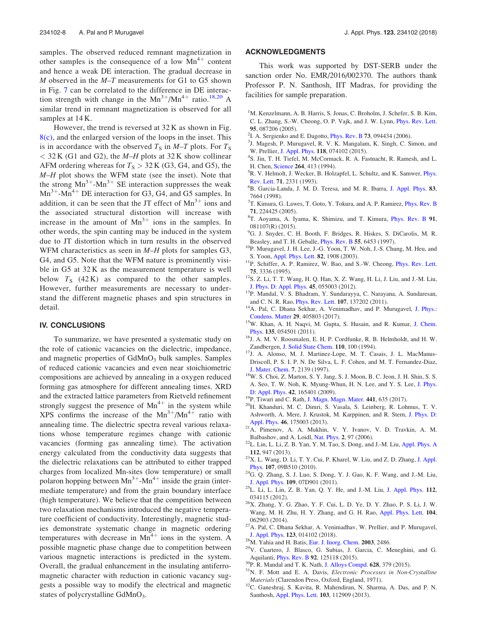samples. The observed reduced remnant magnetization in other samples is the consequence of a low  $Mn^{4+}$  content and hence a weak DE interaction. The gradual decrease in  $M$  observed in the  $M-T$  measurements for G1 to G5 shown in Fig. 7 can be correlated to the difference in DE interaction strength with change in the  $Mn^{3+}/Mn^{4+}$  ratio.<sup>18,20</sup> A similar trend in remnant magnetization is observed for all samples at 14 K.

However, the trend is reversed at 32 K as shown in Fig.  $8(c)$ , and the enlarged version of the loops in the inset. This is in accordance with the observed  $T<sub>S</sub>$  in M–T plots. For  $T<sub>S</sub>$  $<$  32 K (G1 and G2), the M-H plots at 32 K show collinear AFM ordering whereas for  $T_s > 32$  K (G3, G4, and G5), the M-H plot shows the WFM state (see the inset). Note that the strong  $Mn^{3+}$ - $Mn^{3+}$  SE interaction suppresses the weak  $Mn^{3+}$ - $Mn^{4+}$  DE interaction for G3, G4, and G5 samples. In addition, it can be seen that the JT effect of  $Mn^{3+}$  ions and the associated structural distortion will increase with increase in the amount of  $Mn^{3+}$  ions in the samples. In other words, the spin canting may be induced in the system due to JT distortion which in turn results in the observed WFM characteristics as seen in  $M-H$  plots for samples G3, G4, and G5. Note that the WFM nature is prominently visible in G5 at 32 K as the measurement temperature is well below  $T<sub>S</sub>$  (42 K) as compared to the other samples. However, further measurements are necessary to understand the different magnetic phases and spin structures in detail.

## IV. CONCLUSIONS

To summarize, we have presented a systematic study on the role of cationic vacancies on the dielectric, impedance, and magnetic properties of  $GdMnO<sub>3</sub>$  bulk samples. Samples of reduced cationic vacancies and even near stoichiometric compositions are achieved by annealing in a oxygen reduced forming gas atmosphere for different annealing times. XRD and the extracted lattice parameters from Rietveld refinement strongly suggest the presence of  $Mn^{4+}$  in the system while XPS confirms the increase of the  $Mn^{3+}/Mn^{4+}$  ratio with annealing time. The dielectric spectra reveal various relaxations whose temperature regimes change with cationic vacancies (forming gas annealing time). The activation energy calculated from the conductivity data suggests that the dielectric relaxations can be attributed to either trapped charges from localized Mn-sites (low temperature) or small polaron hopping between  $Mn^{3+}-Mn^{4+}$  inside the grain (intermediate temperature) and from the grain boundary interface (high temperature). We believe that the competition between two relaxation mechanisms introduced the negative temperature coefficient of conductivity. Interestingly, magnetic studies demonstrate systematic change in magnetic ordering temperatures with decrease in  $Mn^{4+}$  ions in the system. A possible magnetic phase change due to competition between various magnetic interactions is predicted in the system. Overall, the gradual enhancement in the insulating antiferromagnetic character with reduction in cationic vacancy suggests a possible way to modify the electrical and magnetic states of polycrystalline GdMnO<sub>3</sub>.

#### ACKNOWLEDGMENTS

This work was supported by DST-SERB under the sanction order No. EMR/2016/002370. The authors thank Professor P. N. Santhosh, IIT Madras, for providing the facilities for sample preparation.

- <sup>1</sup>M. Kenzelmann, A. B. Harris, S. Jonas, C. Broholm, J. Schefer, S. B. Kim, C. L. Zhang, S.-W. Cheong, O. P. Vajk, and J. W. Lynn, Phys. Rev. Lett. 95, 087206 (2005).
- $2$ I. A. Sergienko and E. Dagotto, *Phys. Rev. B* 73, 094434 (2006).
- <sup>3</sup>J. Magesh, P. Murugavel, R. V. K. Mangalam, K. Singh, C. Simon, and W. Prellier, J. Appl. Phys. 118, 074102 (2015).
- 4 S. Jin, T. H. Tiefel, M. McCormack, R. A. Fastnacht, R. Ramesh, and L. H. Chen, Science 264, 413 (1994).
- <sup>5</sup>R. V. Helmolt, J. Wecker, B. Holzapfel, L. Schultz, and K. Samwer, *Phys.* Rev. Lett. 71, 2331 (1993).
- <sup>6</sup>B. Garcia-Landa, J. M. D. Teresa, and M. R. Ibarra, J. Appl. Phys. 83, 7664 (1998).
- <sup>7</sup>T. Kimura, G. Lawes, T. Goto, Y. Tokura, and A. P. Ramirez, *Phys. Rev. B* 71, 224425 (2005).
- <sup>8</sup>T. Aoyama, A. Iyama, K. Shimizu, and T. Kimura, *Phys. Rev. B* 91, 081107(R) (2015).
- <sup>9</sup>G. J. Snyder, C. H. Booth, F. Bridges, R. Hiskes, S. DiCarolis, M. R. Beasley, and T. H. Geballe, Phys. Rev. B 55, 6453 (1997).
- <sup>10</sup>P. Murugavel, J. H. Lee, J.-G. Yoon, T. W. Noh, J.-S. Chung, M. Heu, and S. Yoon, Appl. Phys. Lett. 82, 1908 (2003).
- <sup>11</sup>P. Schiffer, A. P. Ramirez, W. Bao, and S.-W. Cheong, *Phys. Rev. Lett.* 75, 3336 (1995).
- <sup>12</sup>S. Z. Li, T. T. Wang, H. Q. Han, X. Z. Wang, H. Li, J. Liu, and J.-M. Liu, J. Phys. D: Appl. Phys. 45, 055003 (2012).
- <sup>13</sup>P. Mandal, V. S. Bhadram, Y. Sundarayya, C. Narayana, A. Sundaresan, and C. N. R. Rao, Phys. Rev. Lett. 107, 137202 (2011).
- <sup>14</sup>A. Pal, C. Dhana Sekhar, A. Venimadhav, and P. Murugavel, J. Phys.: Condens. Matter 29, 405803 (2017).
- <sup>15</sup>W. Khan, A. H. Naqvi, M. Gupta, S. Husain, and R. Kumar, J. Chem. Phys. 135, 054501 (2011).
- <sup>16</sup>J. A. M. V. Roosmalen, E. H. P. Cordfunke, R. B. Helmholdt, and H. W. Zandbergen, J. Solid State Chem. 110, 100 (1994).
- <sup>17</sup>J. A. Alonso, M. J. Martinez-Lope, M. T. Casais, J. L. MacManus-Driscoll, P. S. I. P. N. De Silva, L. F. Cohen, and M. T. Fernandez-Diaz, J. Mater. Chem. 7, 2139 (1997).
- <sup>18</sup>W. S. Choi, Z. Marton, S. Y. Jang, S. J. Moon, B. C. Jeon, J. H. Shin, S. S. A. Seo, T. W. Noh, K. Myung-Whun, H. N. Lee, and Y. S. Lee, J. Phys. D: Appl. Phys. 42, 165401 (2009).
- <sup>19</sup>P. Tiwari and C. Rath, J. Magn. Magn. Mater. 441, 635 (2017).
- <sup>20</sup>H. Khanduri, M. C. Dimri, S. Vasala, S. Leinberg, R. Lohmus, T. V. Ashworth, A. Mere, J. Krustok, M. Karppinen, and R. Stern, J. Phys. D: Appl. Phys. 46, 175003 (2013).
- $^{21}A$ . Pimenov, A. A. Mukhin, V. Y. Ivanov, V. D. Travkin, A. M. Balbashov, and A. Loidl, Nat. Phys. 2, 97 (2006).
- <sup>22</sup>L. Lin, L. Li, Z. B. Yan, Y. M. Tao, S. Dong, and J.-M. Liu, Appl. Phys. A 112, 947 (2013).
- <sup>23</sup>X. L. Wang, D. Li, T. Y. Cui, P. Kharel, W. Liu, and Z. D. Zhang, J. Appl. Phys. 107, 09B510 (2010).
- $24$ G. Q. Zhang, S. J. Luo, S. Dong, Y. J. Gao, K. F. Wang, and J.-M. Liu, J. Appl. Phys. 109, 07D901 (2011).
- <sup>25</sup>L. Li, L. Lin, Z. B. Yan, Q. Y. He, and J.-M. Liu, J. Appl. Phys. 112, 034115 (2012).
- <sup>26</sup>X. Zhang, Y. G. Zhao, Y. F. Cui, L. D. Ye, D. Y. Zhao, P. S. Li, J. W. Wang, M. H. Zhu, H. Y. Zhang, and G. H. Rao, Appl. Phys. Lett. 104, 062903 (2014).
- <sup>27</sup>A. Pal, C. Dhana Sekhar, A. Venimadhav, W. Prellier, and P. Murugavel, J. Appl. Phys. 123, 014102 (2018).
- <sup>28</sup>M. Yahia and H. Batis, Eur. J. Inorg. Chem. 2003, 2486.
- <sup>29</sup>V. Cuartero, J. Blasco, G. Subias, J. Garcia, C. Meneghini, and G. Aquilanti, Phys. Rev. B 92, 125118 (2015).
- <sup>30</sup>P. R. Mandal and T. K. Nath, J. Alloys Compd. 628, 379 (2015).
- $31$ N. F. Mott and E. A. Davis, *Electronic Processes in Non-Crystalline* Materials (Clarendon Press, Oxford, England, 1971).
- <sup>32</sup>C. Ganeshraj, S. Kavita, R. Mahendiran, N. Sharma, A. Das, and P. N. Santhosh, Appl. Phys. Lett. 103, 112909 (2013).